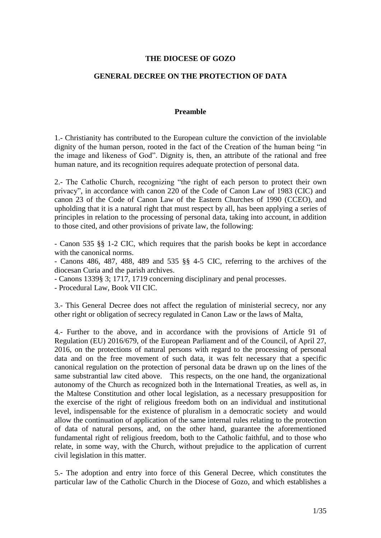### **THE DIOCESE OF GOZO**

### **GENERAL DECREE ON THE PROTECTION OF DATA**

#### **Preamble**

1.- Christianity has contributed to the European culture the conviction of the inviolable dignity of the human person, rooted in the fact of the Creation of the human being "in the image and likeness of God". Dignity is, then, an attribute of the rational and free human nature, and its recognition requires adequate protection of personal data.

2.- The Catholic Church, recognizing "the right of each person to protect their own privacy", in accordance with canon 220 of the Code of Canon Law of 1983 (CIC) and canon 23 of the Code of Canon Law of the Eastern Churches of 1990 (CCEO), and upholding that it is a natural right that must respect by all, has been applying a series of principles in relation to the processing of personal data, taking into account, in addition to those cited, and other provisions of private law, the following:

- Canon 535 §§ 1-2 CIC, which requires that the parish books be kept in accordance with the canonical norms.

- Canons 486, 487, 488, 489 and 535 §§ 4-5 CIC, referring to the archives of the diocesan Curia and the parish archives.

- Canons 1339§ 3; 1717, 1719 concerning disciplinary and penal processes.

- Procedural Law, Book VII CIC.

3.- This General Decree does not affect the regulation of ministerial secrecy, nor any other right or obligation of secrecy regulated in Canon Law or the laws of Malta,

4.- Further to the above, and in accordance with the provisions of Article 91 of Regulation (EU) 2016/679, of the European Parliament and of the Council, of April 27, 2016, on the protections of natural persons with regard to the processing of personal data and on the free movement of such data, it was felt necessary that a specific canonical regulation on the protection of personal data be drawn up on the lines of the same substrantial law cited above. This respects, on the one hand, the organizational autonomy of the Church as recognized both in the International Treaties, as well as, in the Maltese Constitution and other local legislation, as a necessary presupposition for the exercise of the right of religious freedom both on an individual and institutional level, indispensable for the existence of pluralism in a democratic society and would allow the continuation of application of the same internal rules relating to the protection of data of natural persons, and, on the other hand, guarantee the aforementioned fundamental right of religious freedom, both to the Catholic faithful, and to those who relate, in some way, with the Church, without prejudice to the application of current civil legislation in this matter.

5.- The adoption and entry into force of this General Decree, which constitutes the particular law of the Catholic Church in the Diocese of Gozo, and which establishes a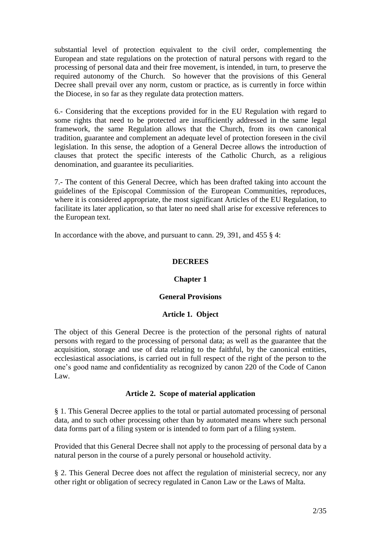substantial level of protection equivalent to the civil order, complementing the European and state regulations on the protection of natural persons with regard to the processing of personal data and their free movement, is intended, in turn, to preserve the required autonomy of the Church. So however that the provisions of this General Decree shall prevail over any norm, custom or practice, as is currently in force within the Diocese, in so far as they regulate data protection matters.

6.- Considering that the exceptions provided for in the EU Regulation with regard to some rights that need to be protected are insufficiently addressed in the same legal framework, the same Regulation allows that the Church, from its own canonical tradition, guarantee and complement an adequate level of protection foreseen in the civil legislation. In this sense, the adoption of a General Decree allows the introduction of clauses that protect the specific interests of the Catholic Church, as a religious denomination, and guarantee its peculiarities.

7.- The content of this General Decree, which has been drafted taking into account the guidelines of the Episcopal Commission of the European Communities, reproduces, where it is considered appropriate, the most significant Articles of the EU Regulation, to facilitate its later application, so that later no need shall arise for excessive references to the European text.

In accordance with the above, and pursuant to cann. 29, 391, and 455 § 4:

# **DECREES**

#### **Chapter 1**

#### **General Provisions**

#### **Article 1. Object**

The object of this General Decree is the protection of the personal rights of natural persons with regard to the processing of personal data; as well as the guarantee that the acquisition, storage and use of data relating to the faithful, by the canonical entities, ecclesiastical associations, is carried out in full respect of the right of the person to the one's good name and confidentiality as recognized by canon 220 of the Code of Canon Law.

#### **Article 2. Scope of material application**

§ 1. This General Decree applies to the total or partial automated processing of personal data, and to such other processing other than by automated means where such personal data forms part of a filing system or is intended to form part of a filing system.

Provided that this General Decree shall not apply to the processing of personal data by a natural person in the course of a purely personal or household activity.

§ 2. This General Decree does not affect the regulation of ministerial secrecy, nor any other right or obligation of secrecy regulated in Canon Law or the Laws of Malta.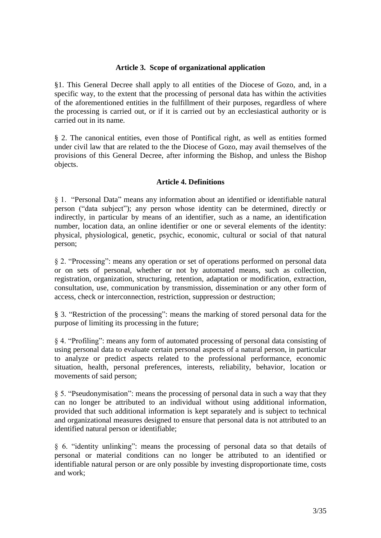### **Article 3. Scope of organizational application**

§1. This General Decree shall apply to all entities of the Diocese of Gozo, and, in a specific way, to the extent that the processing of personal data has within the activities of the aforementioned entities in the fulfillment of their purposes, regardless of where the processing is carried out, or if it is carried out by an ecclesiastical authority or is carried out in its name.

§ 2. The canonical entities, even those of Pontifical right, as well as entities formed under civil law that are related to the the Diocese of Gozo, may avail themselves of the provisions of this General Decree, after informing the Bishop, and unless the Bishop objects.

#### **Article 4. Definitions**

§ 1. "Personal Data" means any information about an identified or identifiable natural person ("data subject"); any person whose identity can be determined, directly or indirectly, in particular by means of an identifier, such as a name, an identification number, location data, an online identifier or one or several elements of the identity: physical, physiological, genetic, psychic, economic, cultural or social of that natural person;

§ 2. "Processing": means any operation or set of operations performed on personal data or on sets of personal, whether or not by automated means, such as collection, registration, organization, structuring, retention, adaptation or modification, extraction, consultation, use, communication by transmission, dissemination or any other form of access, check or interconnection, restriction, suppression or destruction;

§ 3. "Restriction of the processing": means the marking of stored personal data for the purpose of limiting its processing in the future;

§ 4. "Profiling": means any form of automated processing of personal data consisting of using personal data to evaluate certain personal aspects of a natural person, in particular to analyze or predict aspects related to the professional performance, economic situation, health, personal preferences, interests, reliability, behavior, location or movements of said person;

§ 5. "Pseudonymisation": means the processing of personal data in such a way that they can no longer be attributed to an individual without using additional information, provided that such additional information is kept separately and is subject to technical and organizational measures designed to ensure that personal data is not attributed to an identified natural person or identifiable;

§ 6. "identity unlinking": means the processing of personal data so that details of personal or material conditions can no longer be attributed to an identified or identifiable natural person or are only possible by investing disproportionate time, costs and work;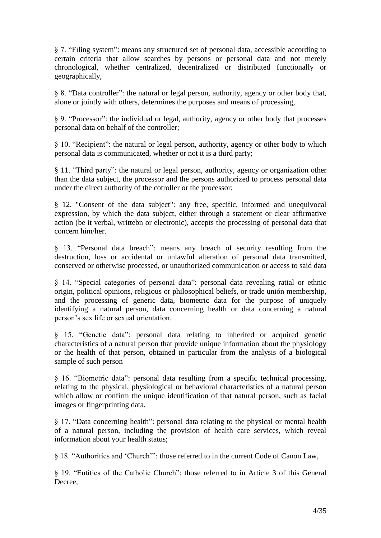§ 7. "Filing system": means any structured set of personal data, accessible according to certain criteria that allow searches by persons or personal data and not merely chronological, whether centralized, decentralized or distributed functionally or geographically,

§ 8. "Data controller": the natural or legal person, authority, agency or other body that, alone or jointly with others, determines the purposes and means of processing,

§ 9. "Processor": the individual or legal, authority, agency or other body that processes personal data on behalf of the controller;

§ 10. "Recipient": the natural or legal person, authority, agency or other body to which personal data is communicated, whether or not it is a third party;

§ 11. "Third party": the natural or legal person, authority, agency or organization other than the data subject, the processor and the persons authorized to process personal data under the direct authority of the cotroller or the processor;

§ 12. "Consent of the data subject": any free, specific, informed and unequivocal expression, by which the data subject, either through a statement or clear affirmative action (be it verbal, writtebn or electronic), accepts the processing of personal data that concern him/her.

§ 13. "Personal data breach": means any breach of security resulting from the destruction, loss or accidental or unlawful alteration of personal data transmitted, conserved or otherwise processed, or unauthorized communication or access to said data

§ 14. "Special categories of personal data": personal data revealing ratial or ethnic origin, political opinions, religious or philosophical beliefs, or trade unión membership, and the processing of generic data, biometric data for the purpose of uniquely identifying a natural person, data concerning health or data concerning a natural person's sex life or sexual orientation.

§ 15. "Genetic data": personal data relating to inherited or acquired genetic characteristics of a natural person that provide unique information about the physiology or the health of that person, obtained in particular from the analysis of a biological sample of such person

§ 16. "Biometric data": personal data resulting from a specific technical processing, relating to the physical, physiological or behavioral characteristics of a natural person which allow or confirm the unique identification of that natural person, such as facial images or fingerprinting data.

§ 17. "Data concerning health": personal data relating to the physical or mental health of a natural person, including the provision of health care services, which reveal information about your health status;

§ 18. "Authorities and 'Church'": those referred to in the current Code of Canon Law,

§ 19. "Entities of the Catholic Church": those referred to in Article 3 of this General Decree,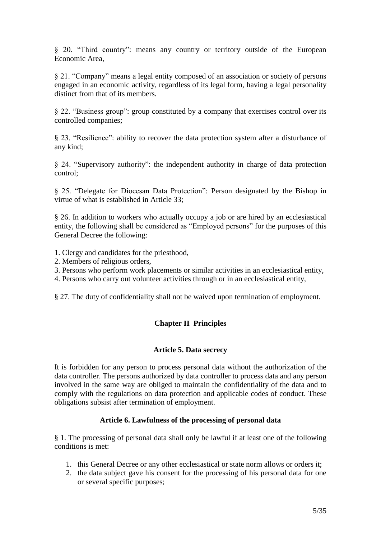§ 20. "Third country": means any country or territory outside of the European Economic Area,

§ 21. "Company" means a legal entity composed of an association or society of persons engaged in an economic activity, regardless of its legal form, having a legal personality distinct from that of its members.

§ 22. "Business group": group constituted by a company that exercises control over its controlled companies;

§ 23. "Resilience": ability to recover the data protection system after a disturbance of any kind;

§ 24. "Supervisory authority": the independent authority in charge of data protection control;

§ 25. "Delegate for Diocesan Data Protection": Person designated by the Bishop in virtue of what is established in Article 33;

§ 26. In addition to workers who actually occupy a job or are hired by an ecclesiastical entity, the following shall be considered as "Employed persons" for the purposes of this General Decree the following:

- 1. Clergy and candidates for the priesthood,
- 2. Members of religious orders,
- 3. Persons who perform work placements or similar activities in an ecclesiastical entity,
- 4. Persons who carry out volunteer activities through or in an ecclesiastical entity,

§ 27. The duty of confidentiality shall not be waived upon termination of employment.

# **Chapter II Principles**

#### **Article 5. Data secrecy**

It is forbidden for any person to process personal data without the authorization of the data controller. The persons authorized by data controller to process data and any person involved in the same way are obliged to maintain the confidentiality of the data and to comply with the regulations on data protection and applicable codes of conduct. These obligations subsist after termination of employment.

#### **Article 6. Lawfulness of the processing of personal data**

§ 1. The processing of personal data shall only be lawful if at least one of the following conditions is met:

- 1. this General Decree or any other ecclesiastical or state norm allows or orders it;
- 2. the data subject gave his consent for the processing of his personal data for one or several specific purposes;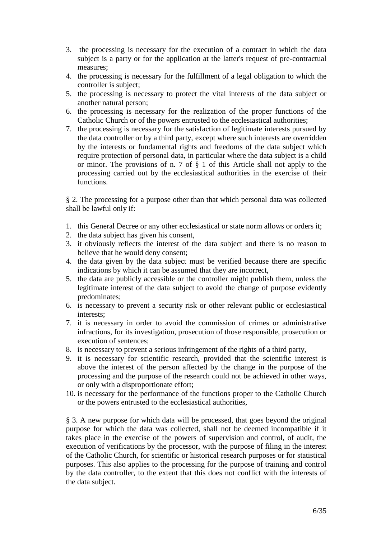- 3. the processing is necessary for the execution of a contract in which the data subject is a party or for the application at the latter's request of pre-contractual measures;
- 4. the processing is necessary for the fulfillment of a legal obligation to which the controller is subject;
- 5. the processing is necessary to protect the vital interests of the data subject or another natural person;
- 6. the processing is necessary for the realization of the proper functions of the Catholic Church or of the powers entrusted to the ecclesiastical authorities;
- 7. the processing is necessary for the satisfaction of legitimate interests pursued by the data controller or by a third party, except where such interests are overridden by the interests or fundamental rights and freedoms of the data subject which require protection of personal data, in particular where the data subject is a child or minor. The provisions of n. 7 of § 1 of this Article shall not apply to the processing carried out by the ecclesiastical authorities in the exercise of their functions.

§ 2. The processing for a purpose other than that which personal data was collected shall be lawful only if:

- 1. this General Decree or any other ecclesiastical or state norm allows or orders it;
- 2. the data subject has given his consent,
- 3. it obviously reflects the interest of the data subject and there is no reason to believe that he would deny consent;
- 4. the data given by the data subject must be verified because there are specific indications by which it can be assumed that they are incorrect,
- 5. the data are publicly accessible or the controller might publish them, unless the legitimate interest of the data subject to avoid the change of purpose evidently predominates;
- 6. is necessary to prevent a security risk or other relevant public or ecclesiastical interests;
- 7. it is necessary in order to avoid the commission of crimes or administrative infractions, for its investigation, prosecution of those responsible, prosecution or execution of sentences;
- 8. is necessary to prevent a serious infringement of the rights of a third party,
- 9. it is necessary for scientific research, provided that the scientific interest is above the interest of the person affected by the change in the purpose of the processing and the purpose of the research could not be achieved in other ways, or only with a disproportionate effort;
- 10. is necessary for the performance of the functions proper to the Catholic Church or the powers entrusted to the ecclesiastical authorities,

§ 3. A new purpose for which data will be processed, that goes beyond the original purpose for which the data was collected, shall not be deemed incompatible if it takes place in the exercise of the powers of supervision and control, of audit, the execution of verifications by the processor, with the purpose of filing in the interest of the Catholic Church, for scientific or historical research purposes or for statistical purposes. This also applies to the processing for the purpose of training and control by the data controller, to the extent that this does not conflict with the interests of the data subject.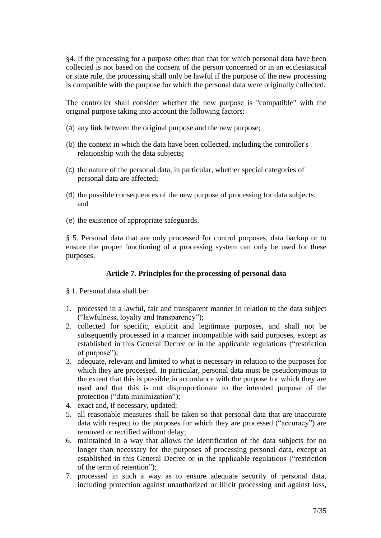§4. If the processing for a purpose other than that for which personal data have been collected is not based on the consent of the person concerned or in an ecclesiastical or state rule, the processing shall only be lawful if the purpose of the new processing is compatible with the purpose for which the personal data were originally collected.

The controller shall consider whether the new purpose is "compatible" with the original purpose taking into account the following factors:

- (a) any link between the original purpose and the new purpose;
- (b) the context in which the data have been collected, including the controller's relationship with the data subjects;
- (c) the nature of the personal data, in particular, whether special categories of personal data are affected;
- (d) the possible consequences of the new purpose of processing for data subjects; and
- (e) the existence of appropriate safeguards.

§ 5. Personal data that are only processed for control purposes, data backup or to ensure the proper functioning of a processing system can only be used for these purposes.

# **Article 7. Principles for the processing of personal data**

- § 1. Personal data shall be:
- 1. processed in a lawful, fair and transparent manner in relation to the data subject ("lawfulness, loyalty and transparency");
- 2. collected for specific, explicit and legitimate purposes, and shall not be subsequently processed in a manner incompatible with said purposes, except as established in this General Decree or in the applicable regulations ("restriction of purpose");
- 3. adequate, relevant and limited to what is necessary in relation to the purposes for which they are processed. In particular, personal data must be pseudonymous to the extent that this is possible in accordance with the purpose for which they are used and that this is not disproportionate to the intended purpose of the protection ("data minimization");
- 4. exact and, if necessary, updated;
- 5. all reasonable measures shall be taken so that personal data that are inaccurate data with respect to the purposes for which they are processed ("accuracy") are removed or rectified without delay;
- 6. maintained in a way that allows the identification of the data subjects for no longer than necessary for the purposes of processing personal data, except as established in this General Decree or in the applicable regulations ("restriction of the term of retention");
- 7. processed in such a way as to ensure adequate security of personal data, including protection against unauthorized or illicit processing and against loss,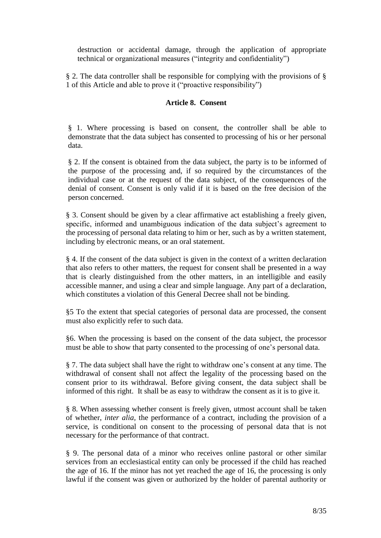destruction or accidental damage, through the application of appropriate technical or organizational measures ("integrity and confidentiality")

§ 2. The data controller shall be responsible for complying with the provisions of § 1 of this Article and able to prove it ("proactive responsibility")

### **Article 8. Consent**

§ 1. Where processing is based on consent, the controller shall be able to demonstrate that the data subject has consented to processing of his or her personal data.

§ 2. If the consent is obtained from the data subject, the party is to be informed of the purpose of the processing and, if so required by the circumstances of the individual case or at the request of the data subject, of the consequences of the denial of consent. Consent is only valid if it is based on the free decision of the person concerned.

§ 3. Consent should be given by a clear affirmative act establishing a freely given, specific, informed and unambiguous indication of the data subject's agreement to the processing of personal data relating to him or her, such as by a written statement, including by electronic means, or an oral statement.

§ 4. If the consent of the data subject is given in the context of a written declaration that also refers to other matters, the request for consent shall be presented in a way that is clearly distinguished from the other matters, in an intelligible and easily accessible manner, and using a clear and simple language. Any part of a declaration, which constitutes a violation of this General Decree shall not be binding.

§5 To the extent that special categories of personal data are processed, the consent must also explicitly refer to such data.

§6. When the processing is based on the consent of the data subject, the processor must be able to show that party consented to the processing of one's personal data.

§ 7. The data subject shall have the right to withdraw one's consent at any time. The withdrawal of consent shall not affect the legality of the processing based on the consent prior to its withdrawal. Before giving consent, the data subject shall be informed of this right. It shall be as easy to withdraw the consent as it is to give it.

§ 8. When assessing whether consent is freely given, utmost account shall be taken of whether, *inter alia,* the performance of a contract, including the provision of a service, is conditional on consent to the processing of personal data that is not necessary for the performance of that contract.

§ 9. The personal data of a minor who receives online pastoral or other similar services from an ecclesiastical entity can only be processed if the child has reached the age of 16. If the minor has not yet reached the age of 16, the processing is only lawful if the consent was given or authorized by the holder of parental authority or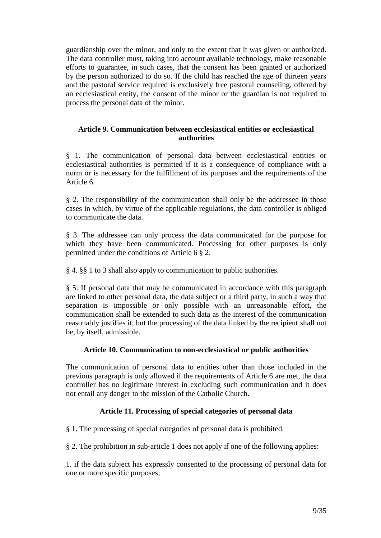guardianship over the minor, and only to the extent that it was given or authorized. The data controller must, taking into account available technology, make reasonable efforts to guarantee, in such cases, that the consent has been granted or authorized by the person authorized to do so. If the child has reached the age of thirteen years and the pastoral service required is exclusively free pastoral counseling, offered by an ecclesiastical entity, the consent of the minor or the guardian is not required to process the personal data of the minor.

### **Article 9. Communication between ecclesiastical entities or ecclesiastical authorities**

§ 1. The communication of personal data between ecclesiastical entities or ecclesiastical authorities is permitted if it is a consequence of compliance with a norm or is necessary for the fulfillment of its purposes and the requirements of the Article 6.

§ 2. The responsibility of the communication shall only be the addressee in those cases in which, by virtue of the applicable regulations, the data controller is obliged to communicate the data.

§ 3. The addressee can only process the data communicated for the purpose for which they have been communicated. Processing for other purposes is only permitted under the conditions of Article 6 § 2.

§ 4. §§ 1 to 3 shall also apply to communication to public authorities.

§ 5. If personal data that may be communicated in accordance with this paragraph are linked to other personal data, the data subject or a third party, in such a way that separation is impossible or only possible with an unreasonable effort, the communication shall be extended to such data as the interest of the communication reasonably justifies it, but the processing of the data linked by the recipient shall not be, by itself, admissible.

# **Article 10. Communication to non-ecclesiastical or public authorities**

The communication of personal data to entities other than those included in the previous paragraph is only allowed if the requirements of Article 6 are met, the data controller has no legitimate interest in excluding such communication and it does not entail any danger to the mission of the Catholic Church.

# **Article 11. Processing of special categories of personal data**

§ 1. The processing of special categories of personal data is prohibited.

§ 2. The prohibition in sub-article 1 does not apply if one of the following applies:

1. if the data subject has expressly consented to the processing of personal data for one or more specific purposes;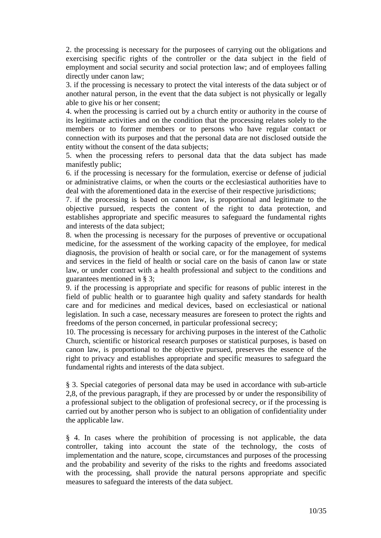2. the processing is necessary for the purposees of carrying out the obligations and exercising specific rights of the controller or the data subject in the field of employment and social security and social protection law; and of employees falling directly under canon law;

3. if the processing is necessary to protect the vital interests of the data subject or of another natural person, in the event that the data subject is not physically or legally able to give his or her consent;

4. when the processing is carried out by a church entity or authority in the course of its legitimate activities and on the condition that the processing relates solely to the members or to former members or to persons who have regular contact or connection with its purposes and that the personal data are not disclosed outside the entity without the consent of the data subjects;

5. when the processing refers to personal data that the data subject has made manifestly public;

6. if the processing is necessary for the formulation, exercise or defense of judicial or administrative claims, or when the courts or the ecclesiastical authorities have to deal with the aforementioned data in the exercise of their respective jurisdictions;

7. if the processing is based on canon law, is proportional and legitimate to the objective pursued, respects the content of the right to data protection, and establishes appropriate and specific measures to safeguard the fundamental rights and interests of the data subject;

8. when the processing is necessary for the purposes of preventive or occupational medicine, for the assessment of the working capacity of the employee, for medical diagnosis, the provision of health or social care, or for the management of systems and services in the field of health or social care on the basis of canon law or state law, or under contract with a health professional and subject to the conditions and guarantees mentioned in § 3;

9. if the processing is appropriate and specific for reasons of public interest in the field of public health or to guarantee high quality and safety standards for health care and for medicines and medical devices, based on ecclesiastical or national legislation. In such a case, necessary measures are foreseen to protect the rights and freedoms of the person concerned, in particular professional secrecy;

10. The processing is necessary for archiving purposes in the interest of the Catholic Church, scientific or historical research purposes or statistical purposes, is based on canon law, is proportional to the objective pursued, preserves the essence of the right to privacy and establishes appropriate and specific measures to safeguard the fundamental rights and interests of the data subject.

§ 3. Special categories of personal data may be used in accordance with sub-article 2,8, of the previous paragraph, if they are processed by or under the responsibility of a professional subject to the obligation of profesional secrecy, or if the processing is carried out by another person who is subject to an obligation of confidentiality under the applicable law.

§ 4. In cases where the prohibition of processing is not applicable, the data controller, taking into account the state of the technology, the costs of implementation and the nature, scope, circumstances and purposes of the processing and the probability and severity of the risks to the rights and freedoms associated with the processing, shall provide the natural persons appropriate and specific measures to safeguard the interests of the data subject.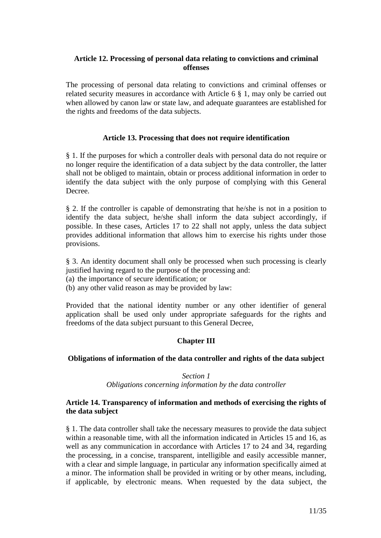### **Article 12. Processing of personal data relating to convictions and criminal offenses**

The processing of personal data relating to convictions and criminal offenses or related security measures in accordance with Article 6 § 1, may only be carried out when allowed by canon law or state law, and adequate guarantees are established for the rights and freedoms of the data subjects.

### **Article 13. Processing that does not require identification**

§ 1. If the purposes for which a controller deals with personal data do not require or no longer require the identification of a data subject by the data controller, the latter shall not be obliged to maintain, obtain or process additional information in order to identify the data subject with the only purpose of complying with this General Decree.

§ 2. If the controller is capable of demonstrating that he/she is not in a position to identify the data subject, he/she shall inform the data subject accordingly, if possible. In these cases, Articles 17 to 22 shall not apply, unless the data subject provides additional information that allows him to exercise his rights under those provisions.

§ 3. An identity document shall only be processed when such processing is clearly justified having regard to the purpose of the processing and:

(a) the importance of secure identification; or

(b) any other valid reason as may be provided by law:

Provided that the national identity number or any other identifier of general application shall be used only under appropriate safeguards for the rights and freedoms of the data subject pursuant to this General Decree,

# **Chapter III**

#### **Obligations of information of the data controller and rights of the data subject**

*Section 1 Obligations concerning information by the data controller*

#### **Article 14. Transparency of information and methods of exercising the rights of the data subject**

§ 1. The data controller shall take the necessary measures to provide the data subject within a reasonable time, with all the information indicated in Articles 15 and 16, as well as any communication in accordance with Articles 17 to 24 and 34, regarding the processing, in a concise, transparent, intelligible and easily accessible manner, with a clear and simple language, in particular any information specifically aimed at a minor. The information shall be provided in writing or by other means, including, if applicable, by electronic means. When requested by the data subject, the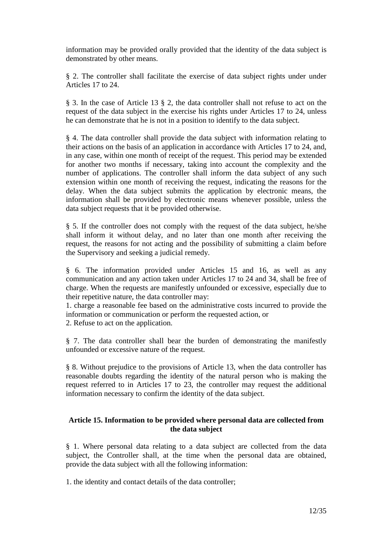information may be provided orally provided that the identity of the data subject is demonstrated by other means.

§ 2. The controller shall facilitate the exercise of data subject rights under under Articles 17 to 24.

§ 3. In the case of Article 13 § 2, the data controller shall not refuse to act on the request of the data subject in the exercise his rights under Articles 17 to 24, unless he can demonstrate that he is not in a position to identify to the data subject.

§ 4. The data controller shall provide the data subject with information relating to their actions on the basis of an application in accordance with Articles 17 to 24, and, in any case, within one month of receipt of the request. This period may be extended for another two months if necessary, taking into account the complexity and the number of applications. The controller shall inform the data subject of any such extension within one month of receiving the request, indicating the reasons for the delay. When the data subject submits the application by electronic means, the information shall be provided by electronic means whenever possible, unless the data subject requests that it be provided otherwise.

§ 5. If the controller does not comply with the request of the data subject, he/she shall inform it without delay, and no later than one month after receiving the request, the reasons for not acting and the possibility of submitting a claim before the Supervisory and seeking a judicial remedy.

§ 6. The information provided under Articles 15 and 16, as well as any communication and any action taken under Articles 17 to 24 and 34, shall be free of charge. When the requests are manifestly unfounded or excessive, especially due to their repetitive nature, the data controller may:

1. charge a reasonable fee based on the administrative costs incurred to provide the information or communication or perform the requested action, or

2. Refuse to act on the application.

§ 7. The data controller shall bear the burden of demonstrating the manifestly unfounded or excessive nature of the request.

§ 8. Without prejudice to the provisions of Article 13, when the data controller has reasonable doubts regarding the identity of the natural person who is making the request referred to in Articles 17 to 23, the controller may request the additional information necessary to confirm the identity of the data subject.

### **Article 15. Information to be provided where personal data are collected from the data subject**

§ 1. Where personal data relating to a data subject are collected from the data subject, the Controller shall, at the time when the personal data are obtained, provide the data subject with all the following information:

1. the identity and contact details of the data controller;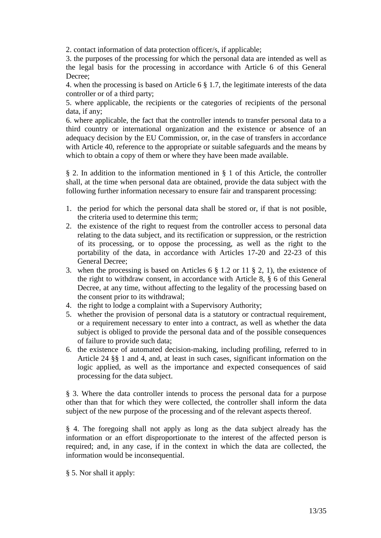2. contact information of data protection officer/s, if applicable;

3. the purposes of the processing for which the personal data are intended as well as the legal basis for the processing in accordance with Article 6 of this General Decree;

4. when the processing is based on Article 6 § 1.7, the legitimate interests of the data controller or of a third party;

5. where applicable, the recipients or the categories of recipients of the personal data, if any;

6. where applicable, the fact that the controller intends to transfer personal data to a third country or international organization and the existence or absence of an adequacy decision by the EU Commission, or, in the case of transfers in accordance with Article 40, reference to the appropriate or suitable safeguards and the means by which to obtain a copy of them or where they have been made available.

§ 2. In addition to the information mentioned in § 1 of this Article, the controller shall, at the time when personal data are obtained, provide the data subject with the following further information necessary to ensure fair and transparent processing:

- 1. the period for which the personal data shall be stored or, if that is not posible, the criteria used to determine this term;
- 2. the existence of the right to request from the controller access to personal data relating to the data subject, and its rectification or suppression, or the restriction of its processing, or to oppose the processing, as well as the right to the portability of the data, in accordance with Articles 17-20 and 22-23 of this General Decree;
- 3. when the processing is based on Articles 6 § 1.2 or 11 § 2, 1), the existence of the right to withdraw consent, in accordance with Article 8, § 6 of this General Decree, at any time, without affecting to the legality of the processing based on the consent prior to its withdrawal;
- 4. the right to lodge a complaint with a Supervisory Authority;
- 5. whether the provision of personal data is a statutory or contractual requirement, or a requirement necessary to enter into a contract, as well as whether the data subject is obliged to provide the personal data and of the possible consequences of failure to provide such data;
- 6. the existence of automated decision-making, including profiling, referred to in Article 24 §§ 1 and 4, and, at least in such cases, significant information on the logic applied, as well as the importance and expected consequences of said processing for the data subject.

§ 3. Where the data controller intends to process the personal data for a purpose other than that for which they were collected, the controller shall inform the data subject of the new purpose of the processing and of the relevant aspects thereof.

§ 4. The foregoing shall not apply as long as the data subject already has the information or an effort disproportionate to the interest of the affected person is required; and, in any case, if in the context in which the data are collected, the information would be inconsequential.

§ 5. Nor shall it apply: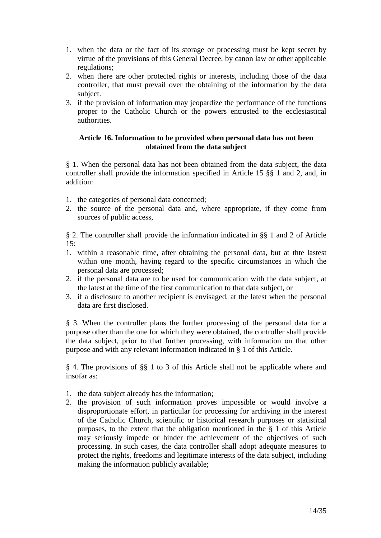- 1. when the data or the fact of its storage or processing must be kept secret by virtue of the provisions of this General Decree, by canon law or other applicable regulations;
- 2. when there are other protected rights or interests, including those of the data controller, that must prevail over the obtaining of the information by the data subject.
- 3. if the provision of information may jeopardize the performance of the functions proper to the Catholic Church or the powers entrusted to the ecclesiastical authorities.

### **Article 16. Information to be provided when personal data has not been obtained from the data subject**

§ 1. When the personal data has not been obtained from the data subject, the data controller shall provide the information specified in Article 15 §§ 1 and 2, and, in addition:

- 1. the categories of personal data concerned;
- 2. the source of the personal data and, where appropriate, if they come from sources of public access,

§ 2. The controller shall provide the information indicated in §§ 1 and 2 of Article  $15:$ 

- 1. within a reasonable time, after obtaining the personal data, but at thte lastest within one month, having regard to the specific circumstances in which the personal data are processed;
- 2. if the personal data are to be used for communication with the data subject, at the latest at the time of the first communication to that data subject, or
- 3. if a disclosure to another recipient is envisaged, at the latest when the personal data are first disclosed.

§ 3. When the controller plans the further processing of the personal data for a purpose other than the one for which they were obtained, the controller shall provide the data subject, prior to that further processing, with information on that other purpose and with any relevant information indicated in § 1 of this Article.

§ 4. The provisions of §§ 1 to 3 of this Article shall not be applicable where and insofar as:

- 1. the data subject already has the information;
- 2. the provision of such information proves impossible or would involve a disproportionate effort, in particular for processing for archiving in the interest of the Catholic Church, scientific or historical research purposes or statistical purposes, to the extent that the obligation mentioned in the § 1 of this Article may seriously impede or hinder the achievement of the objectives of such processing. In such cases, the data controller shall adopt adequate measures to protect the rights, freedoms and legitimate interests of the data subject, including making the information publicly available;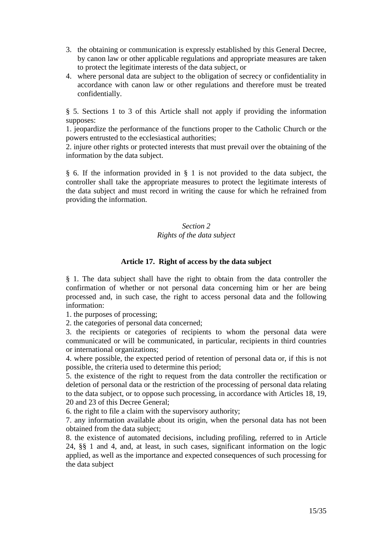- 3. the obtaining or communication is expressly established by this General Decree, by canon law or other applicable regulations and appropriate measures are taken to protect the legitimate interests of the data subject, or
- 4. where personal data are subject to the obligation of secrecy or confidentiality in accordance with canon law or other regulations and therefore must be treated confidentially.

§ 5. Sections 1 to 3 of this Article shall not apply if providing the information supposes:

1. jeopardize the performance of the functions proper to the Catholic Church or the powers entrusted to the ecclesiastical authorities;

2. injure other rights or protected interests that must prevail over the obtaining of the information by the data subject.

§ 6. If the information provided in § 1 is not provided to the data subject, the controller shall take the appropriate measures to protect the legitimate interests of the data subject and must record in writing the cause for which he refrained from providing the information.

# *Section 2 Rights of the data subject*

# **Article 17. Right of access by the data subject**

§ 1. The data subject shall have the right to obtain from the data controller the confirmation of whether or not personal data concerning him or her are being processed and, in such case, the right to access personal data and the following information:

1. the purposes of processing;

2. the categories of personal data concerned;

3. the recipients or categories of recipients to whom the personal data were communicated or will be communicated, in particular, recipients in third countries or international organizations;

4. where possible, the expected period of retention of personal data or, if this is not possible, the criteria used to determine this period;

5. the existence of the right to request from the data controller the rectification or deletion of personal data or the restriction of the processing of personal data relating to the data subject, or to oppose such processing, in accordance with Articles 18, 19, 20 and 23 of this Decree General;

6. the right to file a claim with the supervisory authority;

7. any information available about its origin, when the personal data has not been obtained from the data subject;

8. the existence of automated decisions, including profiling, referred to in Article 24, §§ 1 and 4, and, at least, in such cases, significant information on the logic applied, as well as the importance and expected consequences of such processing for the data subject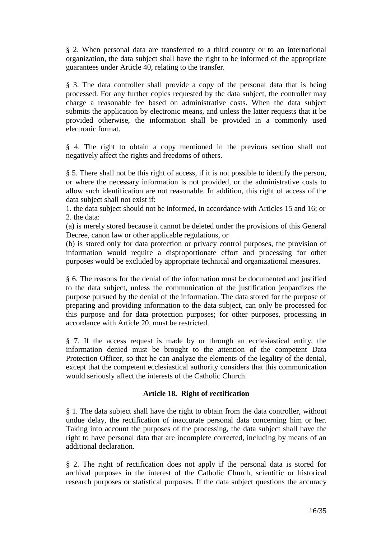§ 2. When personal data are transferred to a third country or to an international organization, the data subject shall have the right to be informed of the appropriate guarantees under Article 40, relating to the transfer.

§ 3. The data controller shall provide a copy of the personal data that is being processed. For any further copies requested by the data subject, the controller may charge a reasonable fee based on administrative costs. When the data subject submits the application by electronic means, and unless the latter requests that it be provided otherwise, the information shall be provided in a commonly used electronic format.

§ 4. The right to obtain a copy mentioned in the previous section shall not negatively affect the rights and freedoms of others.

§ 5. There shall not be this right of access, if it is not possible to identify the person, or where the necessary information is not provided, or the administrative costs to allow such identification are not reasonable. In addition, this right of access of the data subject shall not exist if:

1. the data subject should not be informed, in accordance with Articles 15 and 16; or 2. the data:

(a) is merely stored because it cannot be deleted under the provisions of this General Decree, canon law or other applicable regulations, or

(b) is stored only for data protection or privacy control purposes, the provision of information would require a disproportionate effort and processing for other purposes would be excluded by appropriate technical and organizational measures.

§ 6. The reasons for the denial of the information must be documented and justified to the data subject, unless the communication of the justification jeopardizes the purpose pursued by the denial of the information. The data stored for the purpose of preparing and providing information to the data subject, can only be processed for this purpose and for data protection purposes; for other purposes, processing in accordance with Article 20, must be restricted.

§ 7. If the access request is made by or through an ecclesiastical entity, the information denied must be brought to the attention of the competent Data Protection Officer, so that he can analyze the elements of the legality of the denial, except that the competent ecclesiastical authority considers that this communication would seriously affect the interests of the Catholic Church.

# **Article 18. Right of rectification**

§ 1. The data subject shall have the right to obtain from the data controller, without undue delay, the rectification of inaccurate personal data concerning him or her. Taking into account the purposes of the processing, the data subject shall have the right to have personal data that are incomplete corrected, including by means of an additional declaration.

§ 2. The right of rectification does not apply if the personal data is stored for archival purposes in the interest of the Catholic Church, scientific or historical research purposes or statistical purposes. If the data subject questions the accuracy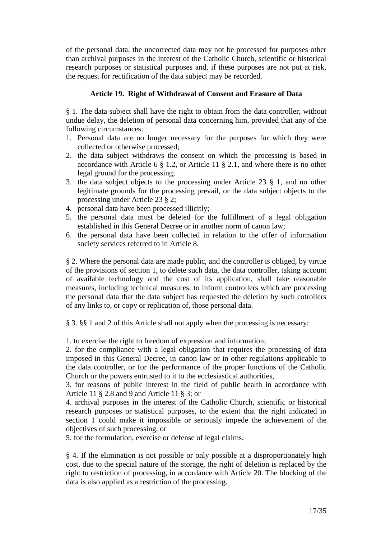of the personal data, the uncorrected data may not be processed for purposes other than archival purposes in the interest of the Catholic Church, scientific or historical research purposes or statistical purposes and, if these purposes are not put at risk, the request for rectification of the data subject may be recorded.

# **Article 19. Right of Withdrawal of Consent and Erasure of Data**

§ 1. The data subject shall have the right to obtain from the data controller, without undue delay, the deletion of personal data concerning him, provided that any of the following circumstances:

- 1. Personal data are no longer necessary for the purposes for which they were collected or otherwise processed;
- 2. the data subject withdraws the consent on which the processing is based in accordance with Article 6 § 1.2, or Article 11 § 2.1, and where there is no other legal ground for the processing;
- 3. the data subject objects to the processing under Article 23 § 1, and no other legitimate grounds for the processing prevail, or the data subject objects to the processing under Article 23 § 2;
- 4. personal data have been processed illicitly;
- 5. the personal data must be deleted for the fulfillment of a legal obligation established in this General Decree or in another norm of canon law;
- 6. the personal data have been collected in relation to the offer of information society services referred to in Article 8.

§ 2. Where the personal data are made public, and the controller is obliged, by virtue of the provisions of section 1, to delete such data, the data controller, taking account of available technology and the cost of its application, shall take reasonable measures, including technical measures, to inform controllers which are processing the personal data that the data subject has requested the deletion by such cotrollers of any links to, or copy or replication of, those personal data.

§ 3. §§ 1 and 2 of this Article shall not apply when the processing is necessary:

1. to exercise the right to freedom of expression and information;

2. for the compliance with a legal obligation that requires the processing of data imposed in this General Decree, in canon law or in other regulations applicable to the data controller, or for the performance of the proper functions of the Catholic Church or the powers entrusted to it to the ecclesiastical authorities,

3. for reasons of public interest in the field of public health in accordance with Article 11 § 2.8 and 9 and Article 11 § 3; or

4. archival purposes in the interest of the Catholic Church, scientific or historical research purposes or statistical purposes, to the extent that the right indicated in section 1 could make it impossible or seriously impede the achievement of the objectives of such processing, or

5. for the formulation, exercise or defense of legal claims.

§ 4. If the elimination is not possible or only possible at a disproportionately high cost, due to the special nature of the storage, the right of deletion is replaced by the right to restriction of processing, in accordance with Article 20. The blocking of the data is also applied as a restriction of the processing.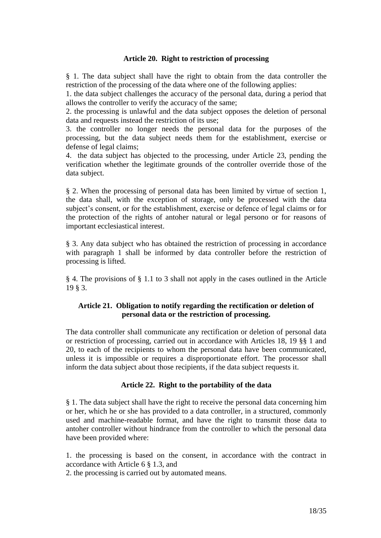#### **Article 20. Right to restriction of processing**

§ 1. The data subject shall have the right to obtain from the data controller the restriction of the processing of the data where one of the following applies:

1. the data subject challenges the accuracy of the personal data, during a period that allows the controller to verify the accuracy of the same;

2. the processing is unlawful and the data subject opposes the deletion of personal data and requests instead the restriction of its use;

3. the controller no longer needs the personal data for the purposes of the processing, but the data subject needs them for the establishment, exercise or defense of legal claims;

4. the data subject has objected to the processing, under Article 23, pending the verification whether the legitimate grounds of the controller override those of the data subject.

§ 2. When the processing of personal data has been limited by virtue of section 1, the data shall, with the exception of storage, only be processed with the data subject's consent, or for the establishment, exercise or defence of legal claims or for the protection of the rights of antoher natural or legal persono or for reasons of important ecclesiastical interest.

§ 3. Any data subject who has obtained the restriction of processing in accordance with paragraph 1 shall be informed by data controller before the restriction of processing is lifted.

§ 4. The provisions of § 1.1 to 3 shall not apply in the cases outlined in the Article 19 § 3.

### **Article 21. Obligation to notify regarding the rectification or deletion of personal data or the restriction of processing.**

The data controller shall communicate any rectification or deletion of personal data or restriction of processing, carried out in accordance with Articles 18, 19 §§ 1 and 20, to each of the recipients to whom the personal data have been communicated, unless it is impossible or requires a disproportionate effort. The processor shall inform the data subject about those recipients, if the data subject requests it.

#### **Article 22. Right to the portability of the data**

§ 1. The data subject shall have the right to receive the personal data concerning him or her, which he or she has provided to a data controller, in a structured, commonly used and machine-readable format, and have the right to transmit those data to antoher controller without hindrance from the controller to which the personal data have been provided where:

1. the processing is based on the consent, in accordance with the contract in accordance with Article 6 § 1.3, and

2. the processing is carried out by automated means.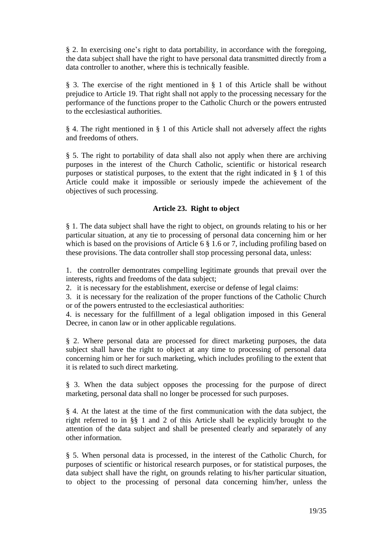§ 2. In exercising one's right to data portability, in accordance with the foregoing, the data subject shall have the right to have personal data transmitted directly from a data controller to another, where this is technically feasible.

§ 3. The exercise of the right mentioned in § 1 of this Article shall be without prejudice to Article 19. That right shall not apply to the processing necessary for the performance of the functions proper to the Catholic Church or the powers entrusted to the ecclesiastical authorities.

§ 4. The right mentioned in § 1 of this Article shall not adversely affect the rights and freedoms of others.

§ 5. The right to portability of data shall also not apply when there are archiving purposes in the interest of the Church Catholic, scientific or historical research purposes or statistical purposes, to the extent that the right indicated in § 1 of this Article could make it impossible or seriously impede the achievement of the objectives of such processing.

# **Article 23. Right to object**

§ 1. The data subject shall have the right to object, on grounds relating to his or her particular situation, at any tie to processing of personal data concerning him or her which is based on the provisions of Article 6  $\S$  1.6 or 7, including profiling based on these provisions. The data controller shall stop processing personal data, unless:

1. the controller demontrates compelling legitimate grounds that prevail over the interests, rights and freedoms of the data subject;

2. it is necessary for the establishment, exercise or defense of legal claims:

3. it is necessary for the realization of the proper functions of the Catholic Church or of the powers entrusted to the ecclesiastical authorities:

4. is necessary for the fulfillment of a legal obligation imposed in this General Decree, in canon law or in other applicable regulations.

§ 2. Where personal data are processed for direct marketing purposes, the data subject shall have the right to object at any time to processing of personal data concerning him or her for such marketing, which includes profiling to the extent that it is related to such direct marketing.

§ 3. When the data subject opposes the processing for the purpose of direct marketing, personal data shall no longer be processed for such purposes.

§ 4. At the latest at the time of the first communication with the data subject, the right referred to in §§ 1 and 2 of this Article shall be explicitly brought to the attention of the data subject and shall be presented clearly and separately of any other information.

§ 5. When personal data is processed, in the interest of the Catholic Church, for purposes of scientific or historical research purposes, or for statistical purposes, the data subject shall have the right, on grounds relating to his/her particular situation, to object to the processing of personal data concerning him/her, unless the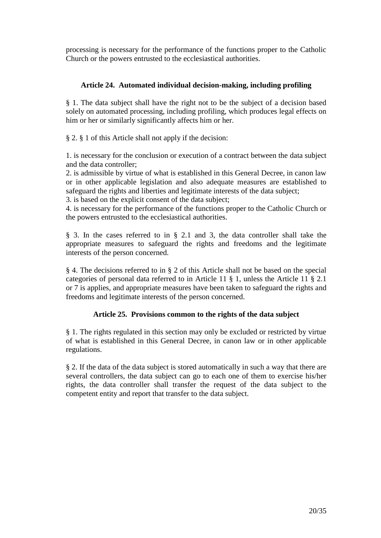processing is necessary for the performance of the functions proper to the Catholic Church or the powers entrusted to the ecclesiastical authorities.

## **Article 24. Automated individual decision-making, including profiling**

§ 1. The data subject shall have the right not to be the subject of a decision based solely on automated processing, including profiling, which produces legal effects on him or her or similarly significantly affects him or her.

§ 2. § 1 of this Article shall not apply if the decision:

1. is necessary for the conclusion or execution of a contract between the data subject and the data controller;

2. is admissible by virtue of what is established in this General Decree, in canon law or in other applicable legislation and also adequate measures are established to safeguard the rights and liberties and legitimate interests of the data subject;

3. is based on the explicit consent of the data subject;

4. is necessary for the performance of the functions proper to the Catholic Church or the powers entrusted to the ecclesiastical authorities.

§ 3. In the cases referred to in § 2.1 and 3, the data controller shall take the appropriate measures to safeguard the rights and freedoms and the legitimate interests of the person concerned.

§ 4. The decisions referred to in § 2 of this Article shall not be based on the special categories of personal data referred to in Article 11 § 1, unless the Article 11 § 2.1 or 7 is applies, and appropriate measures have been taken to safeguard the rights and freedoms and legitimate interests of the person concerned.

# **Article 25. Provisions common to the rights of the data subject**

§ 1. The rights regulated in this section may only be excluded or restricted by virtue of what is established in this General Decree, in canon law or in other applicable regulations.

§ 2. If the data of the data subject is stored automatically in such a way that there are several controllers, the data subject can go to each one of them to exercise his/her rights, the data controller shall transfer the request of the data subject to the competent entity and report that transfer to the data subject.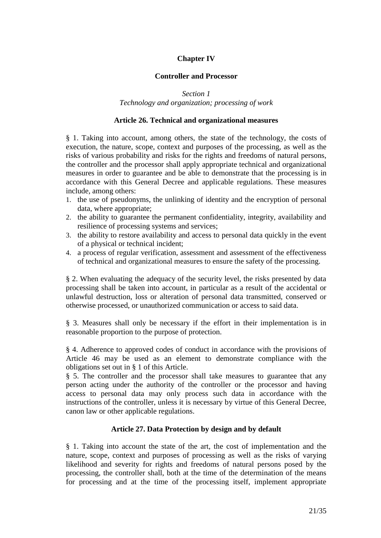# **Chapter IV**

### **Controller and Processor**

*Section 1 Technology and organization; processing of work*

#### **Article 26. Technical and organizational measures**

§ 1. Taking into account, among others, the state of the technology, the costs of execution, the nature, scope, context and purposes of the processing, as well as the risks of various probability and risks for the rights and freedoms of natural persons, the controller and the processor shall apply appropriate technical and organizational measures in order to guarantee and be able to demonstrate that the processing is in accordance with this General Decree and applicable regulations. These measures include, among others:

- 1. the use of pseudonyms, the unlinking of identity and the encryption of personal data, where appropriate;
- 2. the ability to guarantee the permanent confidentiality, integrity, availability and resilience of processing systems and services;
- 3. the ability to restore availability and access to personal data quickly in the event of a physical or technical incident;
- 4. a process of regular verification, assessment and assessment of the effectiveness of technical and organizational measures to ensure the safety of the processing.

§ 2. When evaluating the adequacy of the security level, the risks presented by data processing shall be taken into account, in particular as a result of the accidental or unlawful destruction, loss or alteration of personal data transmitted, conserved or otherwise processed, or unauthorized communication or access to said data.

§ 3. Measures shall only be necessary if the effort in their implementation is in reasonable proportion to the purpose of protection.

§ 4. Adherence to approved codes of conduct in accordance with the provisions of Article 46 may be used as an element to demonstrate compliance with the obligations set out in § 1 of this Article.

§ 5. The controller and the processor shall take measures to guarantee that any person acting under the authority of the controller or the processor and having access to personal data may only process such data in accordance with the instructions of the controller, unless it is necessary by virtue of this General Decree, canon law or other applicable regulations.

#### **Article 27. Data Protection by design and by default**

§ 1. Taking into account the state of the art, the cost of implementation and the nature, scope, context and purposes of processing as well as the risks of varying likelihood and severity for rights and freedoms of natural persons posed by the processing, the controller shall, both at the time of the determination of the means for processing and at the time of the processing itself, implement appropriate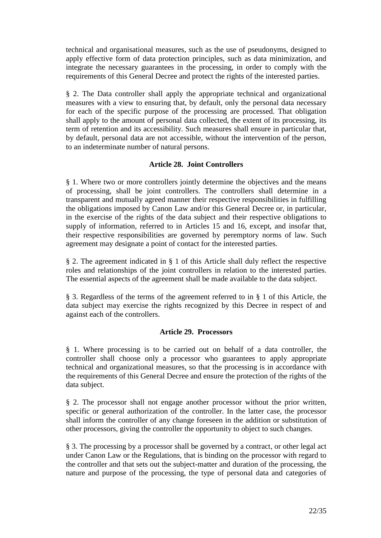technical and organisational measures, such as the use of pseudonyms, designed to apply effective form of data protection principles, such as data minimization, and integrate the necessary guarantees in the processing, in order to comply with the requirements of this General Decree and protect the rights of the interested parties.

§ 2. The Data controller shall apply the appropriate technical and organizational measures with a view to ensuring that, by default, only the personal data necessary for each of the specific purpose of the processing are processed. That obligation shall apply to the amount of personal data collected, the extent of its processing, its term of retention and its accessibility. Such measures shall ensure in particular that, by default, personal data are not accessible, without the intervention of the person, to an indeterminate number of natural persons.

# **Article 28. Joint Controllers**

§ 1. Where two or more controllers jointly determine the objectives and the means of processing, shall be joint controllers. The controllers shall determine in a transparent and mutually agreed manner their respective responsibilities in fulfilling the obligations imposed by Canon Law and/or this General Decree or, in particular, in the exercise of the rights of the data subject and their respective obligations to supply of information, referred to in Articles 15 and 16, except, and insofar that, their respective responsibilities are governed by peremptory norms of law. Such agreement may designate a point of contact for the interested parties.

§ 2. The agreement indicated in § 1 of this Article shall duly reflect the respective roles and relationships of the joint controllers in relation to the interested parties. The essential aspects of the agreement shall be made available to the data subject.

§ 3. Regardless of the terms of the agreement referred to in § 1 of this Article, the data subject may exercise the rights recognized by this Decree in respect of and against each of the controllers.

# **Article 29. Processors**

§ 1. Where processing is to be carried out on behalf of a data controller, the controller shall choose only a processor who guarantees to apply appropriate technical and organizational measures, so that the processing is in accordance with the requirements of this General Decree and ensure the protection of the rights of the data subject.

§ 2. The processor shall not engage another processor without the prior written, specific or general authorization of the controller. In the latter case, the processor shall inform the controller of any change foreseen in the addition or substitution of other processors, giving the controller the opportunity to object to such changes.

§ 3. The processing by a processor shall be governed by a contract, or other legal act under Canon Law or the Regulations, that is binding on the processor with regard to the controller and that sets out the subject-matter and duration of the processing, the nature and purpose of the processing, the type of personal data and categories of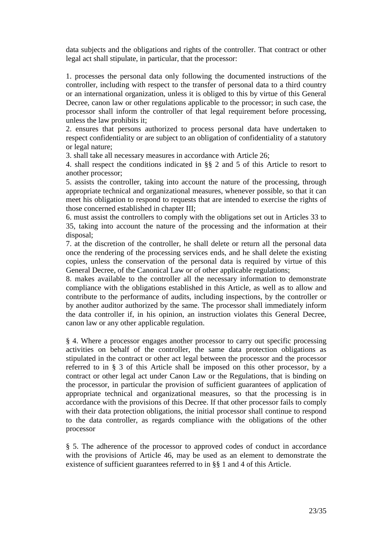data subjects and the obligations and rights of the controller. That contract or other legal act shall stipulate, in particular, that the processor:

1. processes the personal data only following the documented instructions of the controller, including with respect to the transfer of personal data to a third country or an international organization, unless it is obliged to this by virtue of this General Decree, canon law or other regulations applicable to the processor; in such case, the processor shall inform the controller of that legal requirement before processing, unless the law prohibits it;

2. ensures that persons authorized to process personal data have undertaken to respect confidentiality or are subject to an obligation of confidentiality of a statutory or legal nature;

3. shall take all necessary measures in accordance with Article 26;

4. shall respect the conditions indicated in §§ 2 and 5 of this Article to resort to another processor;

5. assists the controller, taking into account the nature of the processing, through appropriate technical and organizational measures, whenever possible, so that it can meet his obligation to respond to requests that are intended to exercise the rights of those concerned established in chapter III;

6. must assist the controllers to comply with the obligations set out in Articles 33 to 35, taking into account the nature of the processing and the information at their disposal;

7. at the discretion of the controller, he shall delete or return all the personal data once the rendering of the processing services ends, and he shall delete the existing copies, unless the conservation of the personal data is required by virtue of this General Decree, of the Canonical Law or of other applicable regulations;

8. makes available to the controller all the necessary information to demonstrate compliance with the obligations established in this Article, as well as to allow and contribute to the performance of audits, including inspections, by the controller or by another auditor authorized by the same. The processor shall immediately inform the data controller if, in his opinion, an instruction violates this General Decree, canon law or any other applicable regulation.

§ 4. Where a processor engages another processor to carry out specific processing activities on behalf of the controller, the same data protection obligations as stipulated in the contract or other act legal between the processor and the processor referred to in § 3 of this Article shall be imposed on this other processor, by a contract or other legal act under Canon Law or the Regulations, that is binding on the processor, in particular the provision of sufficient guarantees of application of appropriate technical and organizational measures, so that the processing is in accordance with the provisions of this Decree. If that other processor fails to comply with their data protection obligations, the initial processor shall continue to respond to the data controller, as regards compliance with the obligations of the other processor

§ 5. The adherence of the processor to approved codes of conduct in accordance with the provisions of Article 46, may be used as an element to demonstrate the existence of sufficient guarantees referred to in §§ 1 and 4 of this Article.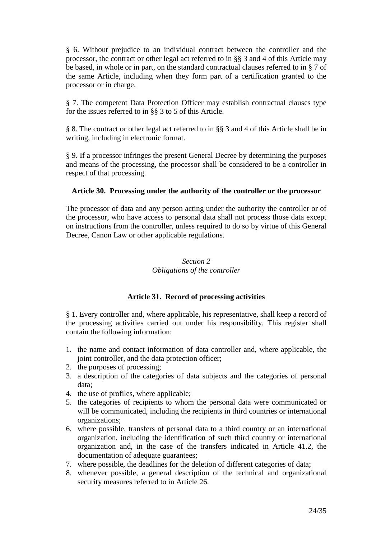§ 6. Without prejudice to an individual contract between the controller and the processor, the contract or other legal act referred to in §§ 3 and 4 of this Article may be based, in whole or in part, on the standard contractual clauses referred to in § 7 of the same Article, including when they form part of a certification granted to the processor or in charge.

§ 7. The competent Data Protection Officer may establish contractual clauses type for the issues referred to in §§ 3 to 5 of this Article.

§ 8. The contract or other legal act referred to in §§ 3 and 4 of this Article shall be in writing, including in electronic format.

§ 9. If a processor infringes the present General Decree by determining the purposes and means of the processing, the processor shall be considered to be a controller in respect of that processing.

### **Article 30. Processing under the authority of the controller or the processor**

The processor of data and any person acting under the authority the controller or of the processor, who have access to personal data shall not process those data except on instructions from the controller, unless required to do so by virtue of this General Decree, Canon Law or other applicable regulations.

# *Section 2 Obligations of the controller*

# **Article 31. Record of processing activities**

§ 1. Every controller and, where applicable, his representative, shall keep a record of the processing activities carried out under his responsibility. This register shall contain the following information:

- 1. the name and contact information of data controller and, where applicable, the joint controller, and the data protection officer;
- 2. the purposes of processing;
- 3. a description of the categories of data subjects and the categories of personal data;
- 4. the use of profiles, where applicable;
- 5. the categories of recipients to whom the personal data were communicated or will be communicated, including the recipients in third countries or international organizations;
- 6. where possible, transfers of personal data to a third country or an international organization, including the identification of such third country or international organization and, in the case of the transfers indicated in Article 41.2, the documentation of adequate guarantees;
- 7. where possible, the deadlines for the deletion of different categories of data;
- 8. whenever possible, a general description of the technical and organizational security measures referred to in Article 26.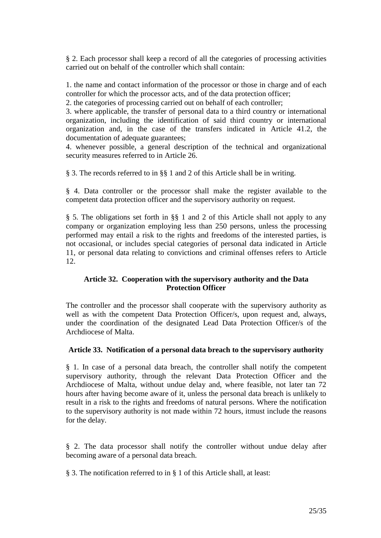§ 2. Each processor shall keep a record of all the categories of processing activities carried out on behalf of the controller which shall contain:

1. the name and contact information of the processor or those in charge and of each controller for which the processor acts, and of the data protection officer;

2. the categories of processing carried out on behalf of each controller;

3. where applicable, the transfer of personal data to a third country or international organization, including the identification of said third country or international organization and, in the case of the transfers indicated in Article 41.2, the documentation of adequate guarantees;

4. whenever possible, a general description of the technical and organizational security measures referred to in Article 26.

§ 3. The records referred to in §§ 1 and 2 of this Article shall be in writing.

§ 4. Data controller or the processor shall make the register available to the competent data protection officer and the supervisory authority on request.

§ 5. The obligations set forth in §§ 1 and 2 of this Article shall not apply to any company or organization employing less than 250 persons, unless the processing performed may entail a risk to the rights and freedoms of the interested parties, is not occasional, or includes special categories of personal data indicated in Article 11, or personal data relating to convictions and criminal offenses refers to Article 12.

# **Article 32. Cooperation with the supervisory authority and the Data Protection Officer**

The controller and the processor shall cooperate with the supervisory authority as well as with the competent Data Protection Officer/s, upon request and, always, under the coordination of the designated Lead Data Protection Officer/s of the Archdiocese of Malta.

# **Article 33. Notification of a personal data breach to the supervisory authority**

§ 1. In case of a personal data breach, the controller shall notify the competent supervisory authority, through the relevant Data Protection Officer and the Archdiocese of Malta, without undue delay and, where feasible, not later tan 72 hours after having become aware of it, unless the personal data breach is unlikely to result in a risk to the rights and freedoms of natural persons. Where the notification to the supervisory authority is not made within 72 hours, itmust include the reasons for the delay.

§ 2. The data processor shall notify the controller without undue delay after becoming aware of a personal data breach.

§ 3. The notification referred to in § 1 of this Article shall, at least: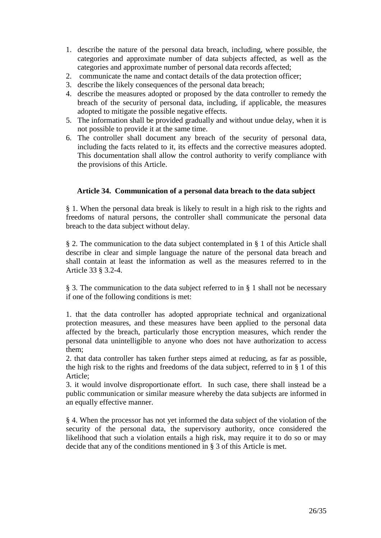- 1. describe the nature of the personal data breach, including, where possible, the categories and approximate number of data subjects affected, as well as the categories and approximate number of personal data records affected;
- 2. communicate the name and contact details of the data protection officer;
- 3. describe the likely consequences of the personal data breach;
- 4. describe the measures adopted or proposed by the data controller to remedy the breach of the security of personal data, including, if applicable, the measures adopted to mitigate the possible negative effects.
- 5. The information shall be provided gradually and without undue delay, when it is not possible to provide it at the same time.
- 6. The controller shall document any breach of the security of personal data, including the facts related to it, its effects and the corrective measures adopted. This documentation shall allow the control authority to verify compliance with the provisions of this Article.

### **Article 34. Communication of a personal data breach to the data subject**

§ 1. When the personal data break is likely to result in a high risk to the rights and freedoms of natural persons, the controller shall communicate the personal data breach to the data subject without delay.

§ 2. The communication to the data subject contemplated in § 1 of this Article shall describe in clear and simple language the nature of the personal data breach and shall contain at least the information as well as the measures referred to in the Article 33 § 3.2-4.

§ 3. The communication to the data subject referred to in § 1 shall not be necessary if one of the following conditions is met:

1. that the data controller has adopted appropriate technical and organizational protection measures, and these measures have been applied to the personal data affected by the breach, particularly those encryption measures, which render the personal data unintelligible to anyone who does not have authorization to access them;

2. that data controller has taken further steps aimed at reducing, as far as possible, the high risk to the rights and freedoms of the data subject, referred to in § 1 of this Article;

3. it would involve disproportionate effort. In such case, there shall instead be a public communication or similar measure whereby the data subjects are informed in an equally effective manner.

§ 4. When the processor has not yet informed the data subject of the violation of the security of the personal data, the supervisory authority, once considered the likelihood that such a violation entails a high risk, may require it to do so or may decide that any of the conditions mentioned in § 3 of this Article is met.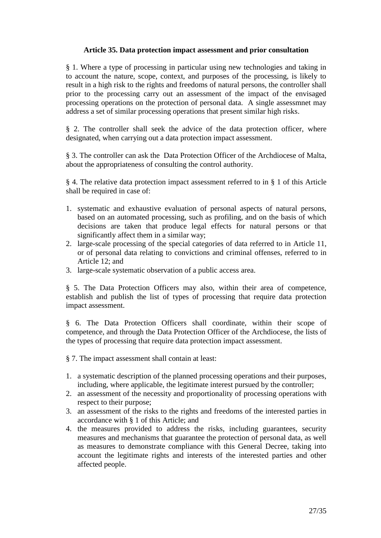### **Article 35. Data protection impact assessment and prior consultation**

§ 1. Where a type of processing in particular using new technologies and taking in to account the nature, scope, context, and purposes of the processing, is likely to result in a high risk to the rights and freedoms of natural persons, the controller shall prior to the processing carry out an assessment of the impact of the envisaged processing operations on the protection of personal data. A single assessmnet may address a set of similar processing operations that present similar high risks.

§ 2. The controller shall seek the advice of the data protection officer, where designated, when carrying out a data protection impact assessment.

§ 3. The controller can ask the Data Protection Officer of the Archdiocese of Malta, about the appropriateness of consulting the control authority.

§ 4. The relative data protection impact assessment referred to in § 1 of this Article shall be required in case of:

- 1. systematic and exhaustive evaluation of personal aspects of natural persons, based on an automated processing, such as profiling, and on the basis of which decisions are taken that produce legal effects for natural persons or that significantly affect them in a similar way;
- 2. large-scale processing of the special categories of data referred to in Article 11, or of personal data relating to convictions and criminal offenses, referred to in Article 12; and
- 3. large-scale systematic observation of a public access area.

§ 5. The Data Protection Officers may also, within their area of competence, establish and publish the list of types of processing that require data protection impact assessment.

§ 6. The Data Protection Officers shall coordinate, within their scope of competence, and through the Data Protection Officer of the Archdiocese, the lists of the types of processing that require data protection impact assessment.

§ 7. The impact assessment shall contain at least:

- 1. a systematic description of the planned processing operations and their purposes, including, where applicable, the legitimate interest pursued by the controller;
- 2. an assessment of the necessity and proportionality of processing operations with respect to their purpose;
- 3. an assessment of the risks to the rights and freedoms of the interested parties in accordance with § 1 of this Article; and
- 4. the measures provided to address the risks, including guarantees, security measures and mechanisms that guarantee the protection of personal data, as well as measures to demonstrate compliance with this General Decree, taking into account the legitimate rights and interests of the interested parties and other affected people.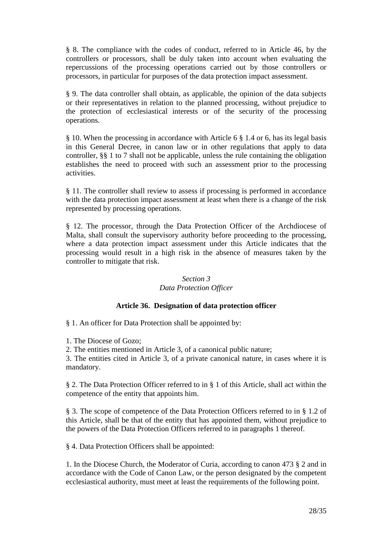§ 8. The compliance with the codes of conduct, referred to in Article 46, by the controllers or processors, shall be duly taken into account when evaluating the repercussions of the processing operations carried out by those controllers or processors, in particular for purposes of the data protection impact assessment.

§ 9. The data controller shall obtain, as applicable, the opinion of the data subjects or their representatives in relation to the planned processing, without prejudice to the protection of ecclesiastical interests or of the security of the processing operations.

§ 10. When the processing in accordance with Article 6 § 1.4 or 6, has its legal basis in this General Decree, in canon law or in other regulations that apply to data controller, §§ 1 to 7 shall not be applicable, unless the rule containing the obligation establishes the need to proceed with such an assessment prior to the processing activities.

§ 11. The controller shall review to assess if processing is performed in accordance with the data protection impact assessment at least when there is a change of the risk represented by processing operations.

§ 12. The processor, through the Data Protection Officer of the Archdiocese of Malta, shall consult the supervisory authority before proceeding to the processing, where a data protection impact assessment under this Article indicates that the processing would result in a high risk in the absence of measures taken by the controller to mitigate that risk.

# *Section 3 Data Protection Officer*

# **Article 36. Designation of data protection officer**

§ 1. An officer for Data Protection shall be appointed by:

1. The Diocese of Gozo;

2. The entities mentioned in Article 3, of a canonical public nature;

3. The entities cited in Article 3, of a private canonical nature, in cases where it is mandatory.

§ 2. The Data Protection Officer referred to in § 1 of this Article, shall act within the competence of the entity that appoints him.

§ 3. The scope of competence of the Data Protection Officers referred to in § 1.2 of this Article, shall be that of the entity that has appointed them, without prejudice to the powers of the Data Protection Officers referred to in paragraphs 1 thereof.

§ 4. Data Protection Officers shall be appointed:

1. In the Diocese Church, the Moderator of Curia, according to canon 473 § 2 and in accordance with the Code of Canon Law, or the person designated by the competent ecclesiastical authority, must meet at least the requirements of the following point.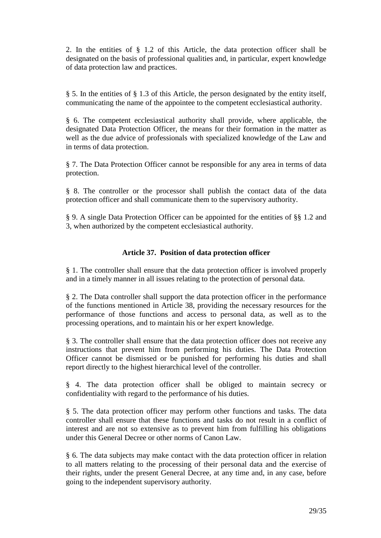2. In the entities of § 1.2 of this Article, the data protection officer shall be designated on the basis of professional qualities and, in particular, expert knowledge of data protection law and practices.

§ 5. In the entities of § 1.3 of this Article, the person designated by the entity itself, communicating the name of the appointee to the competent ecclesiastical authority.

§ 6. The competent ecclesiastical authority shall provide, where applicable, the designated Data Protection Officer, the means for their formation in the matter as well as the due advice of professionals with specialized knowledge of the Law and in terms of data protection.

§ 7. The Data Protection Officer cannot be responsible for any area in terms of data protection.

§ 8. The controller or the processor shall publish the contact data of the data protection officer and shall communicate them to the supervisory authority.

§ 9. A single Data Protection Officer can be appointed for the entities of §§ 1.2 and 3, when authorized by the competent ecclesiastical authority.

# **Article 37. Position of data protection officer**

§ 1. The controller shall ensure that the data protection officer is involved properly and in a timely manner in all issues relating to the protection of personal data.

§ 2. The Data controller shall support the data protection officer in the performance of the functions mentioned in Article 38, providing the necessary resources for the performance of those functions and access to personal data, as well as to the processing operations, and to maintain his or her expert knowledge.

§ 3. The controller shall ensure that the data protection officer does not receive any instructions that prevent him from performing his duties. The Data Protection Officer cannot be dismissed or be punished for performing his duties and shall report directly to the highest hierarchical level of the controller.

§ 4. The data protection officer shall be obliged to maintain secrecy or confidentiality with regard to the performance of his duties.

§ 5. The data protection officer may perform other functions and tasks. The data controller shall ensure that these functions and tasks do not result in a conflict of interest and are not so extensive as to prevent him from fulfilling his obligations under this General Decree or other norms of Canon Law.

§ 6. The data subjects may make contact with the data protection officer in relation to all matters relating to the processing of their personal data and the exercise of their rights, under the present General Decree, at any time and, in any case, before going to the independent supervisory authority.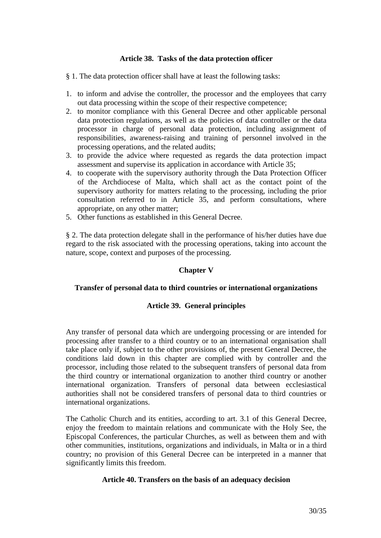### **Article 38. Tasks of the data protection officer**

- § 1. The data protection officer shall have at least the following tasks:
- 1. to inform and advise the controller, the processor and the employees that carry out data processing within the scope of their respective competence;
- 2. to monitor compliance with this General Decree and other applicable personal data protection regulations, as well as the policies of data controller or the data processor in charge of personal data protection, including assignment of responsibilities, awareness-raising and training of personnel involved in the processing operations, and the related audits;
- 3. to provide the advice where requested as regards the data protection impact assessment and supervise its application in accordance with Article 35;
- 4. to cooperate with the supervisory authority through the Data Protection Officer of the Archdiocese of Malta, which shall act as the contact point of the supervisory authority for matters relating to the processing, including the prior consultation referred to in Article 35, and perform consultations, where appropriate, on any other matter;
- 5. Other functions as established in this General Decree.

§ 2. The data protection delegate shall in the performance of his/her duties have due regard to the risk associated with the processing operations, taking into account the nature, scope, context and purposes of the processing.

### **Chapter V**

#### **Transfer of personal data to third countries or international organizations**

### **Article 39. General principles**

Any transfer of personal data which are undergoing processing or are intended for processing after transfer to a third country or to an international organisation shall take place only if, subject to the other provisions of, the present General Decree, the conditions laid down in this chapter are complied with by controller and the processor, including those related to the subsequent transfers of personal data from the third country or international organization to another third country or another international organization. Transfers of personal data between ecclesiastical authorities shall not be considered transfers of personal data to third countries or international organizations.

The Catholic Church and its entities, according to art. 3.1 of this General Decree, enjoy the freedom to maintain relations and communicate with the Holy See, the Episcopal Conferences, the particular Churches, as well as between them and with other communities, institutions, organizations and individuals, in Malta or in a third country; no provision of this General Decree can be interpreted in a manner that significantly limits this freedom.

#### **Article 40. Transfers on the basis of an adequacy decision**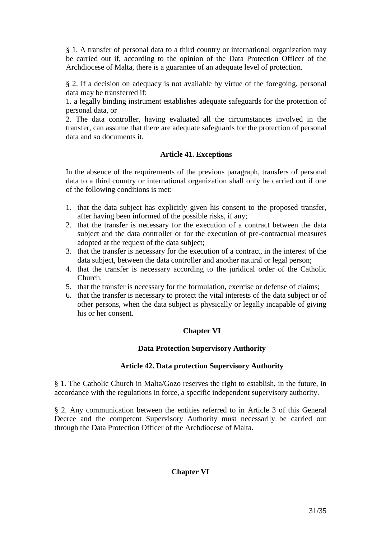§ 1. A transfer of personal data to a third country or international organization may be carried out if, according to the opinion of the Data Protection Officer of the Archdiocese of Malta, there is a guarantee of an adequate level of protection.

§ 2. If a decision on adequacy is not available by virtue of the foregoing, personal data may be transferred if:

1. a legally binding instrument establishes adequate safeguards for the protection of personal data, or

2. The data controller, having evaluated all the circumstances involved in the transfer, can assume that there are adequate safeguards for the protection of personal data and so documents it.

# **Article 41. Exceptions**

In the absence of the requirements of the previous paragraph, transfers of personal data to a third country or international organization shall only be carried out if one of the following conditions is met:

- 1. that the data subject has explicitly given his consent to the proposed transfer, after having been informed of the possible risks, if any;
- 2. that the transfer is necessary for the execution of a contract between the data subject and the data controller or for the execution of pre-contractual measures adopted at the request of the data subject;
- 3. that the transfer is necessary for the execution of a contract, in the interest of the data subject, between the data controller and another natural or legal person;
- 4. that the transfer is necessary according to the juridical order of the Catholic Church.
- 5. that the transfer is necessary for the formulation, exercise or defense of claims;
- 6. that the transfer is necessary to protect the vital interests of the data subject or of other persons, when the data subject is physically or legally incapable of giving his or her consent.

# **Chapter VI**

# **Data Protection Supervisory Authority**

# **Article 42. Data protection Supervisory Authority**

§ 1. The Catholic Church in Malta/Gozo reserves the right to establish, in the future, in accordance with the regulations in force, a specific independent supervisory authority.

§ 2. Any communication between the entities referred to in Article 3 of this General Decree and the competent Supervisory Authority must necessarily be carried out through the Data Protection Officer of the Archdiocese of Malta.

# **Chapter VI**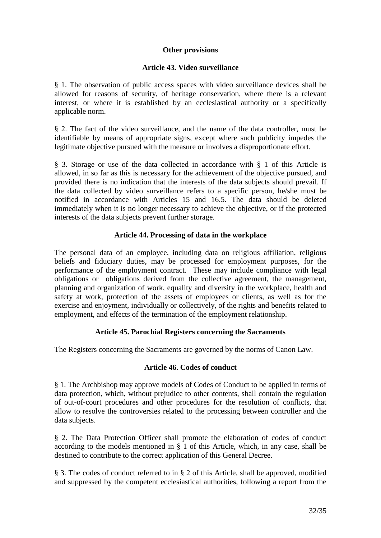### **Other provisions**

### **Article 43. Video surveillance**

§ 1. The observation of public access spaces with video surveillance devices shall be allowed for reasons of security, of heritage conservation, where there is a relevant interest, or where it is established by an ecclesiastical authority or a specifically applicable norm.

§ 2. The fact of the video surveillance, and the name of the data controller, must be identifiable by means of appropriate signs, except where such publicity impedes the legitimate objective pursued with the measure or involves a disproportionate effort.

§ 3. Storage or use of the data collected in accordance with § 1 of this Article is allowed, in so far as this is necessary for the achievement of the objective pursued, and provided there is no indication that the interests of the data subjects should prevail. If the data collected by video surveillance refers to a specific person, he/she must be notified in accordance with Articles 15 and 16.5. The data should be deleted immediately when it is no longer necessary to achieve the objective, or if the protected interests of the data subjects prevent further storage.

### **Article 44. Processing of data in the workplace**

The personal data of an employee, including data on religious affiliation, religious beliefs and fiduciary duties, may be processed for employment purposes, for the performance of the employment contract. These may include compliance with legal obligations or obligations derived from the collective agreement, the management, planning and organization of work, equality and diversity in the workplace, health and safety at work, protection of the assets of employees or clients, as well as for the exercise and enjoyment, individually or collectively, of the rights and benefits related to employment, and effects of the termination of the employment relationship.

# **Article 45. Parochial Registers concerning the Sacraments**

The Registers concerning the Sacraments are governed by the norms of Canon Law.

### **Article 46. Codes of conduct**

§ 1. The Archbishop may approve models of Codes of Conduct to be applied in terms of data protection, which, without prejudice to other contents, shall contain the regulation of out-of-court procedures and other procedures for the resolution of conflicts, that allow to resolve the controversies related to the processing between controller and the data subjects.

§ 2. The Data Protection Officer shall promote the elaboration of codes of conduct according to the models mentioned in § 1 of this Article, which, in any case, shall be destined to contribute to the correct application of this General Decree.

§ 3. The codes of conduct referred to in § 2 of this Article, shall be approved, modified and suppressed by the competent ecclesiastical authorities, following a report from the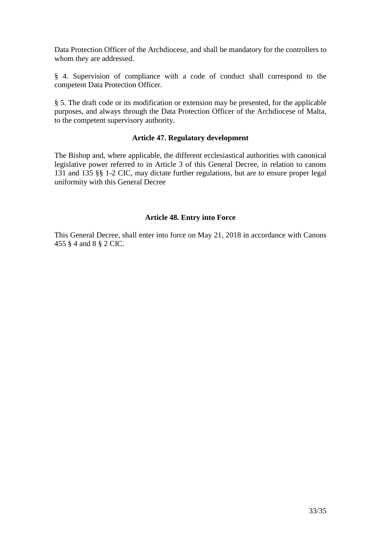Data Protection Officer of the Archdiocese, and shall be mandatory for the controllers to whom they are addressed.

§ 4. Supervision of compliance with a code of conduct shall correspond to the competent Data Protection Officer.

§ 5. The draft code or its modification or extension may be presented, for the applicable purposes, and always through the Data Protection Officer of the Archdiocese of Malta, to the competent supervisory authority.

#### **Article 47. Regulatory development**

The Bishop and, where applicable, the different ecclesiastical authorities with canonical legislative power referred to in Article 3 of this General Decree, in relation to canons 131 and 135 §§ 1-2 CIC, may dictate further regulations, but are to ensure proper legal uniformity with this General Decree

# **Article 48. Entry into Force**

This General Decree, shall enter into force on May 21, 2018 in accordance with Canons 455 § 4 and 8 § 2 CIC.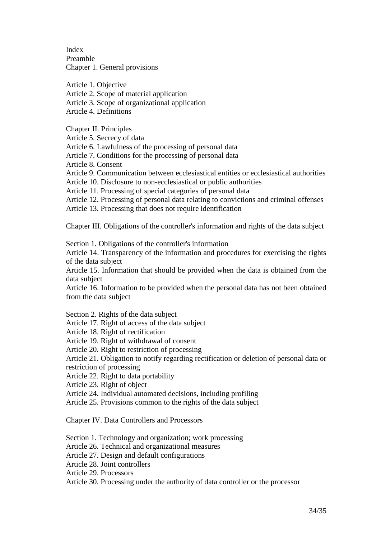Index Preamble Chapter 1. General provisions

Article 1. Objective

Article 2. Scope of material application

Article 3. Scope of organizational application

Article 4. Definitions

Chapter II. Principles

Article 5. Secrecy of data

Article 6. Lawfulness of the processing of personal data

Article 7. Conditions for the processing of personal data

Article 8. Consent

Article 9. Communication between ecclesiastical entities or ecclesiastical authorities

Article 10. Disclosure to non-ecclesiastical or public authorities

Article 11. Processing of special categories of personal data

Article 12. Processing of personal data relating to convictions and criminal offenses

Article 13. Processing that does not require identification

Chapter III. Obligations of the controller's information and rights of the data subject

Section 1. Obligations of the controller's information

Article 14. Transparency of the information and procedures for exercising the rights of the data subject

Article 15. Information that should be provided when the data is obtained from the data subject

Article 16. Information to be provided when the personal data has not been obtained from the data subject

Section 2. Rights of the data subject

Article 17. Right of access of the data subject

Article 18. Right of rectification

Article 19. Right of withdrawal of consent

Article 20. Right to restriction of processing

Article 21. Obligation to notify regarding rectification or deletion of personal data or

restriction of processing

Article 22. Right to data portability

Article 23. Right of object

Article 24. Individual automated decisions, including profiling

Article 25. Provisions common to the rights of the data subject

Chapter IV. Data Controllers and Processors

Section 1. Technology and organization; work processing

Article 26. Technical and organizational measures

Article 27. Design and default configurations

Article 28. Joint controllers

Article 29. Processors

Article 30. Processing under the authority of data controller or the processor